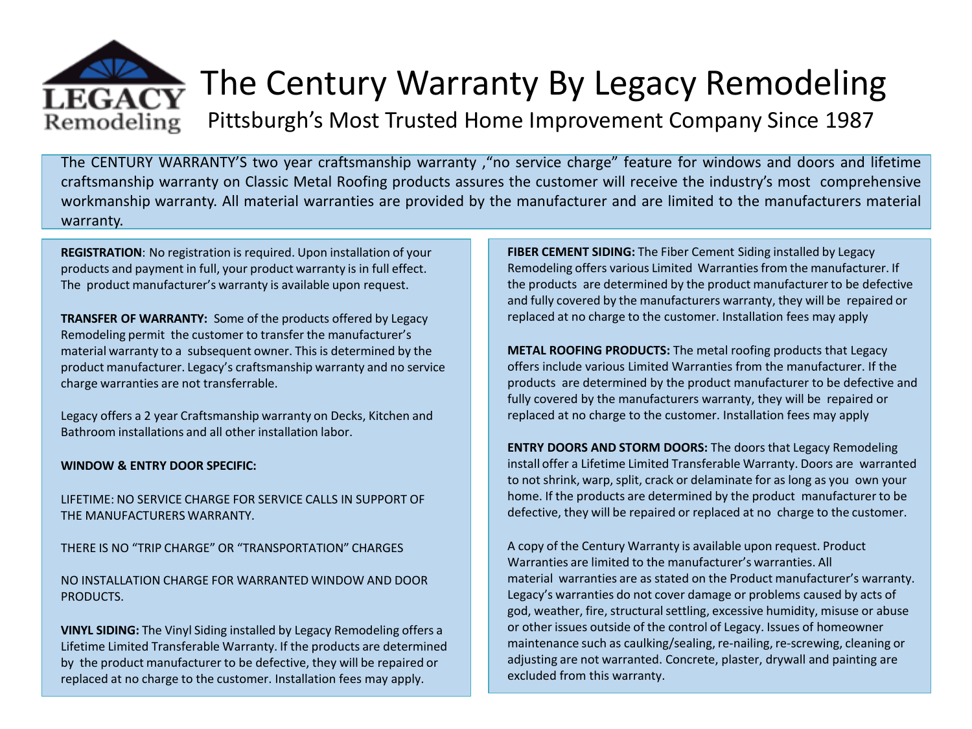

The CENTURY WARRANTY'S two year craftsmanship warranty ,"no service charge" feature for windows and doors and lifetime craftsmanship warranty on Classic Metal Roofing products assures the customer will receive the industry's most comprehensive workmanship warranty. All material warranties are provided by the manufacturer and are limited to the manufacturers material warranty.

**REGISTRATION**: No registration is required. Upon installation of your products and payment in full, your product warranty is in full effect. The product manufacturer's warranty is available upon request.

**TRANSFER OF WARRANTY:** Some of the products offered by Legacy Remodeling permit the customer to transfer the manufacturer's material warranty to a subsequent owner. This is determined by the product manufacturer. Legacy's craftsmanship warranty and no service charge warranties are not transferrable.

Legacy offers a 2 year Craftsmanship warranty on Decks, Kitchen and Bathroom installations and all other installation labor.

## **WINDOW & ENTRY DOOR SPECIFIC:**

LIFETIME: NO SERVICE CHARGE FOR SERVICE CALLS IN SUPPORT OF THE MANUFACTURERS WARRANTY.

THERE IS NO "TRIP CHARGE" OR "TRANSPORTATION" CHARGES

NO INSTALLATION CHARGE FOR WARRANTED WINDOW AND DOOR PRODUCTS.

**VINYL SIDING:** The Vinyl Siding installed by Legacy Remodeling offers a Lifetime Limited Transferable Warranty. If the products are determined by the product manufacturer to be defective, they will be repaired or replaced at no charge to the customer. Installation fees may apply.

**FIBER CEMENT SIDING:** The Fiber Cement Siding installed by Legacy Remodeling offers various Limited Warranties from the manufacturer. If the products are determined by the product manufacturer to be defective and fully covered by the manufacturers warranty, they will be repaired or replaced at no charge to the customer. Installation fees may apply

**METAL ROOFING PRODUCTS:** The metal roofing products that Legacy offers include various Limited Warranties from the manufacturer. If the products are determined by the product manufacturer to be defective and fully covered by the manufacturers warranty, they will be repaired or replaced at no charge to the customer. Installation fees may apply

**ENTRY DOORS AND STORM DOORS:** The doors that Legacy Remodeling install offer a Lifetime Limited Transferable Warranty. Doors are warranted to not shrink, warp, split, crack or delaminate for as long as you own your home. If the products are determined by the product manufacturer to be defective, they will be repaired or replaced at no charge to the customer.

A copy of the Century Warranty is available upon request. Product Warranties are limited to the manufacturer's warranties. All material warranties are as stated on the Product manufacturer's warranty. Legacy's warranties do not cover damage or problems caused by acts of god, weather, fire, structural settling, excessive humidity, misuse or abuse or other issues outside of the control of Legacy. Issues of homeowner maintenance such as caulking/sealing, re-nailing, re-screwing, cleaning or adjusting are not warranted. Concrete, plaster, drywall and painting are excluded from this warranty.